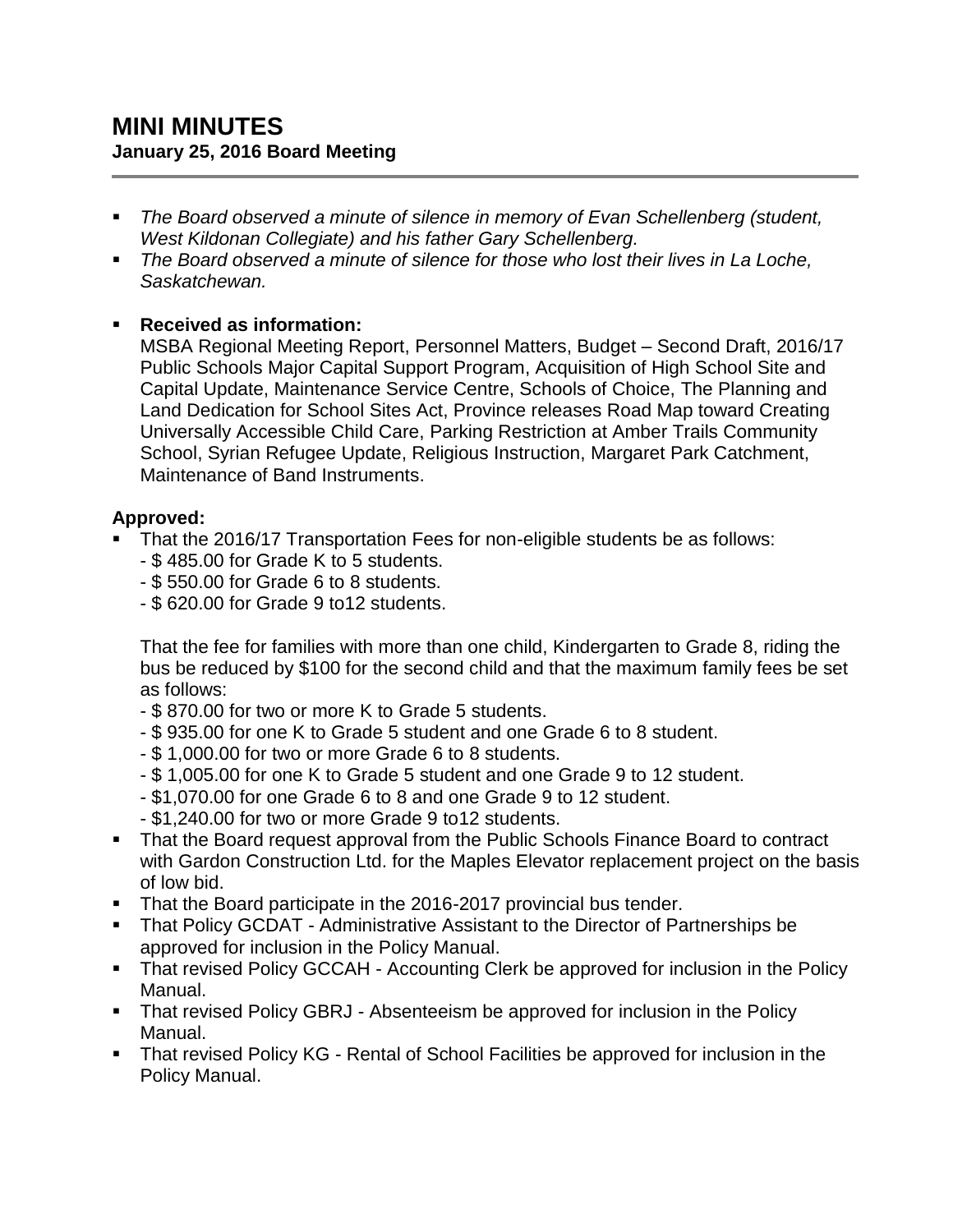- *The Board observed a minute of silence in memory of Evan Schellenberg (student, West Kildonan Collegiate) and his father Gary Schellenberg.*
- *The Board observed a minute of silence for those who lost their lives in La Loche, Saskatchewan.*

# **Received as information:**

MSBA Regional Meeting Report, Personnel Matters, Budget – Second Draft, 2016/17 Public Schools Major Capital Support Program, Acquisition of High School Site and Capital Update, Maintenance Service Centre, Schools of Choice, The Planning and Land Dedication for School Sites Act, Province releases Road Map toward Creating Universally Accessible Child Care, Parking Restriction at Amber Trails Community School, Syrian Refugee Update, Religious Instruction, Margaret Park Catchment, Maintenance of Band Instruments.

## **Approved:**

- That the 2016/17 Transportation Fees for non-eligible students be as follows:
	- \$ 485.00 for Grade K to 5 students.
	- \$ 550.00 for Grade 6 to 8 students.
	- \$ 620.00 for Grade 9 to12 students.

That the fee for families with more than one child, Kindergarten to Grade 8, riding the bus be reduced by \$100 for the second child and that the maximum family fees be set as follows:

- \$ 870.00 for two or more K to Grade 5 students.
- \$ 935.00 for one K to Grade 5 student and one Grade 6 to 8 student.
- \$ 1,000.00 for two or more Grade 6 to 8 students.
- \$ 1,005.00 for one K to Grade 5 student and one Grade 9 to 12 student.
- \$1,070.00 for one Grade 6 to 8 and one Grade 9 to 12 student.
- \$1,240.00 for two or more Grade 9 to12 students.
- That the Board request approval from the Public Schools Finance Board to contract with Gardon Construction Ltd. for the Maples Elevator replacement project on the basis of low bid.
- That the Board participate in the 2016-2017 provincial bus tender.
- That Policy GCDAT Administrative Assistant to the Director of Partnerships be approved for inclusion in the Policy Manual.
- That revised Policy GCCAH Accounting Clerk be approved for inclusion in the Policy Manual.
- That revised Policy GBRJ Absenteeism be approved for inclusion in the Policy Manual.
- That revised Policy KG Rental of School Facilities be approved for inclusion in the Policy Manual.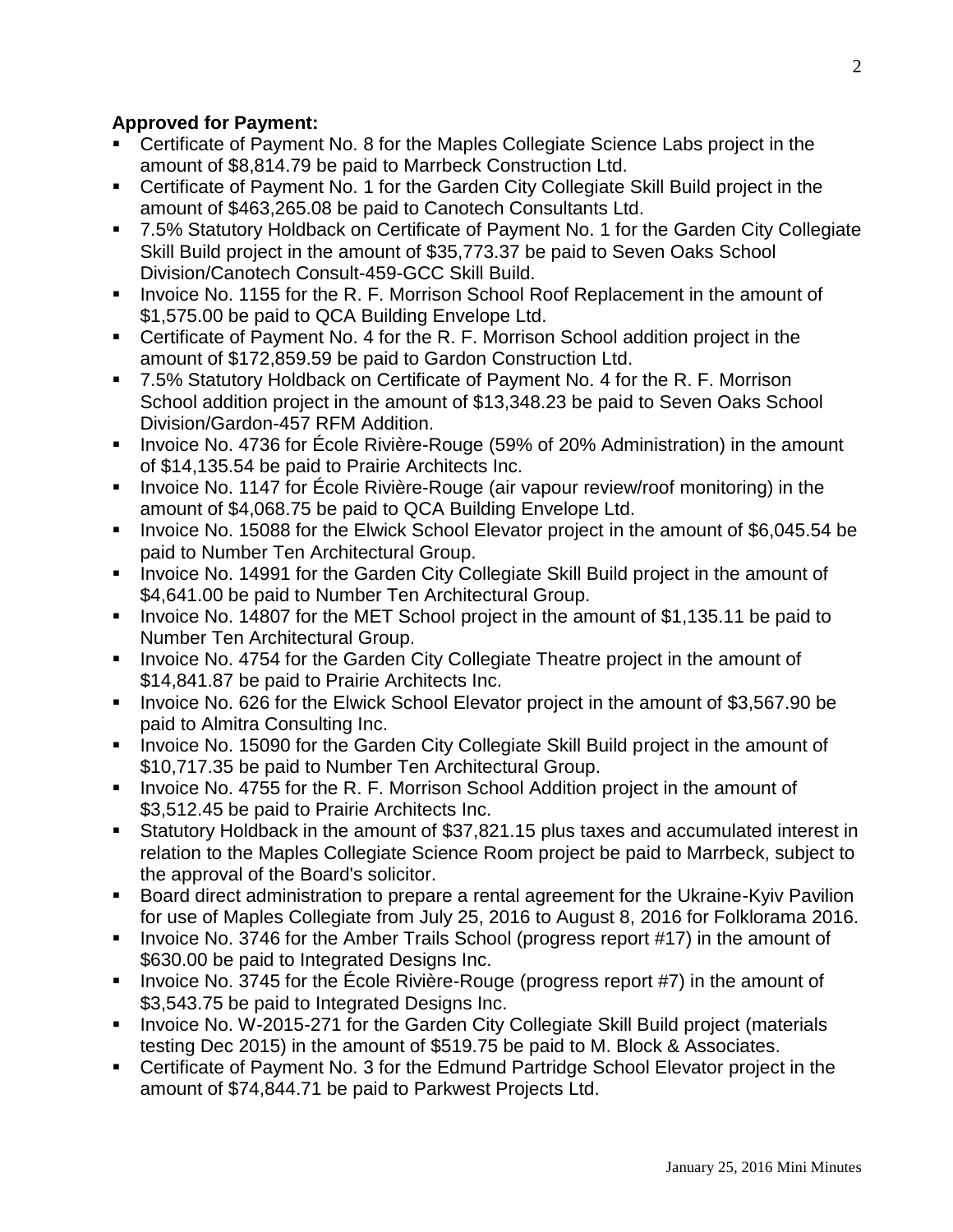## **Approved for Payment:**

- Certificate of Payment No. 8 for the Maples Collegiate Science Labs project in the amount of \$8,814.79 be paid to Marrbeck Construction Ltd.
- Certificate of Payment No. 1 for the Garden City Collegiate Skill Build project in the amount of \$463,265.08 be paid to Canotech Consultants Ltd.
- 7.5% Statutory Holdback on Certificate of Payment No. 1 for the Garden City Collegiate Skill Build project in the amount of \$35,773.37 be paid to Seven Oaks School Division/Canotech Consult-459-GCC Skill Build.
- **Invoice No. 1155 for the R. F. Morrison School Roof Replacement in the amount of** \$1,575.00 be paid to QCA Building Envelope Ltd.
- Certificate of Payment No. 4 for the R. F. Morrison School addition project in the amount of \$172,859.59 be paid to Gardon Construction Ltd.
- 7.5% Statutory Holdback on Certificate of Payment No. 4 for the R. F. Morrison School addition project in the amount of \$13,348.23 be paid to Seven Oaks School Division/Gardon-457 RFM Addition.
- **IDED** Invoice No. 4736 for École Rivière-Rouge (59% of 20% Administration) in the amount of \$14,135.54 be paid to Prairie Architects Inc.
- Invoice No. 1147 for École Rivière-Rouge (air vapour review/roof monitoring) in the amount of \$4,068.75 be paid to QCA Building Envelope Ltd.
- Invoice No. 15088 for the Elwick School Elevator project in the amount of \$6,045.54 be paid to Number Ten Architectural Group.
- **Invoice No. 14991 for the Garden City Collegiate Skill Build project in the amount of** \$4,641.00 be paid to Number Ten Architectural Group.
- Invoice No. 14807 for the MET School project in the amount of \$1,135.11 be paid to Number Ten Architectural Group.
- **Invoice No. 4754 for the Garden City Collegiate Theatre project in the amount of** \$14,841.87 be paid to Prairie Architects Inc.
- Invoice No. 626 for the Elwick School Elevator project in the amount of \$3,567.90 be paid to Almitra Consulting Inc.
- **Invoice No. 15090 for the Garden City Collegiate Skill Build project in the amount of** \$10,717.35 be paid to Number Ten Architectural Group.
- **IDED** Invoice No. 4755 for the R. F. Morrison School Addition project in the amount of \$3,512.45 be paid to Prairie Architects Inc.
- Statutory Holdback in the amount of \$37,821.15 plus taxes and accumulated interest in relation to the Maples Collegiate Science Room project be paid to Marrbeck, subject to the approval of the Board's solicitor.
- Board direct administration to prepare a rental agreement for the Ukraine-Kyiv Pavilion for use of Maples Collegiate from July 25, 2016 to August 8, 2016 for Folklorama 2016.
- Invoice No. 3746 for the Amber Trails School (progress report #17) in the amount of \$630.00 be paid to Integrated Designs Inc.
- Invoice No. 3745 for the Ecole Rivière-Rouge (progress report  $#7$ ) in the amount of \$3,543.75 be paid to Integrated Designs Inc.
- **IDED** Invoice No. W-2015-271 for the Garden City Collegiate Skill Build project (materials testing Dec 2015) in the amount of \$519.75 be paid to M. Block & Associates.
- Certificate of Payment No. 3 for the Edmund Partridge School Elevator project in the amount of \$74,844.71 be paid to Parkwest Projects Ltd.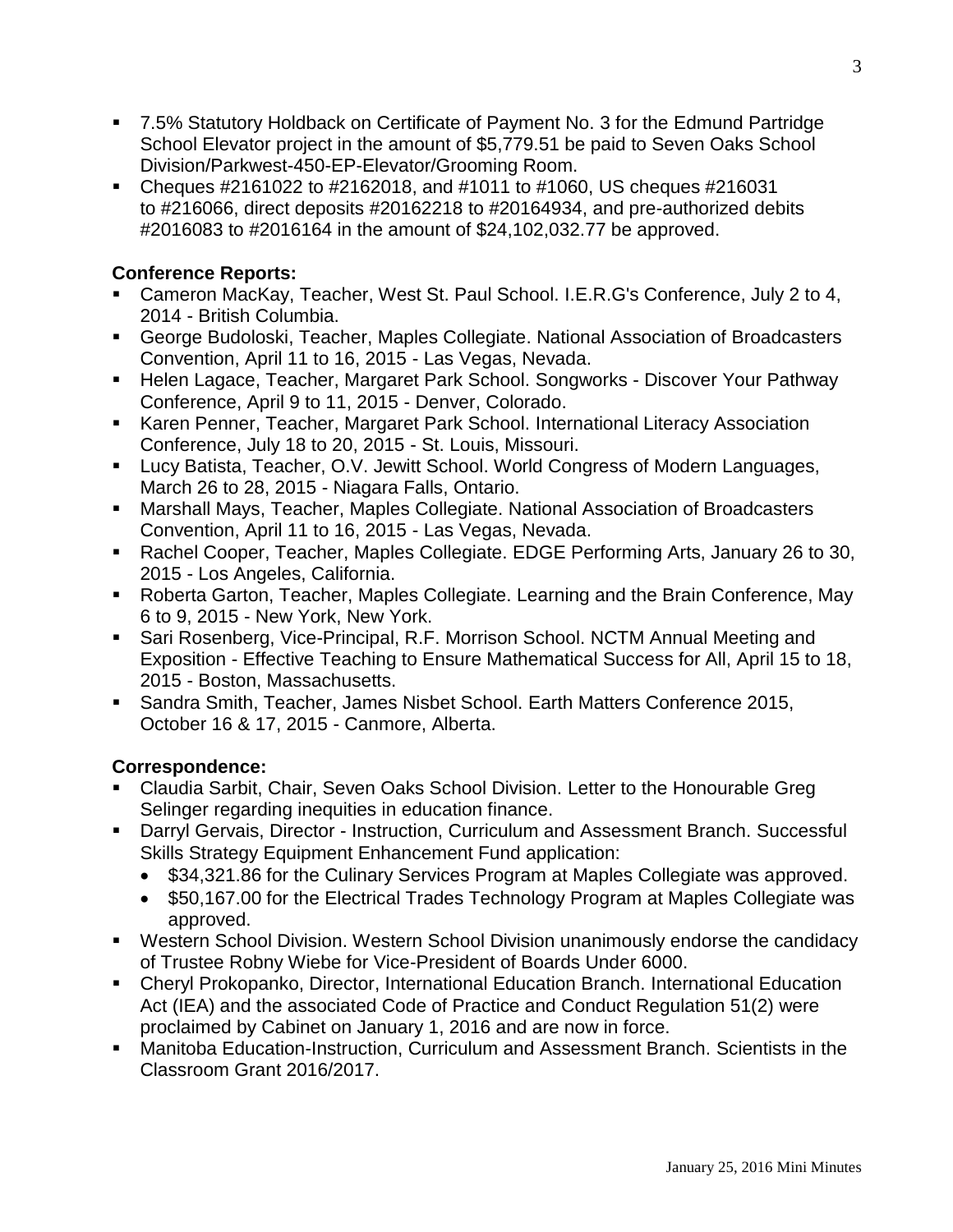- 7.5% Statutory Holdback on Certificate of Payment No. 3 for the Edmund Partridge School Elevator project in the amount of \$5,779.51 be paid to Seven Oaks School Division/Parkwest-450-EP-Elevator/Grooming Room.
- Cheques #2161022 to #2162018, and #1011 to #1060, US cheques #216031 to #216066, direct deposits #20162218 to #20164934, and pre-authorized debits #2016083 to #2016164 in the amount of \$24,102,032.77 be approved.

## **Conference Reports:**

- Cameron MacKay, Teacher, West St. Paul School. I.E.R.G's Conference, July 2 to 4, 2014 - British Columbia.
- George Budoloski, Teacher, Maples Collegiate. National Association of Broadcasters Convention, April 11 to 16, 2015 - Las Vegas, Nevada.
- Helen Lagace, Teacher, Margaret Park School. Songworks Discover Your Pathway Conference, April 9 to 11, 2015 - Denver, Colorado.
- Karen Penner, Teacher, Margaret Park School. International Literacy Association Conference, July 18 to 20, 2015 - St. Louis, Missouri.
- Lucy Batista, Teacher, O.V. Jewitt School. World Congress of Modern Languages, March 26 to 28, 2015 - Niagara Falls, Ontario.
- Marshall Mays, Teacher, Maples Collegiate. National Association of Broadcasters Convention, April 11 to 16, 2015 - Las Vegas, Nevada.
- Rachel Cooper, Teacher, Maples Collegiate. EDGE Performing Arts, January 26 to 30, 2015 - Los Angeles, California.
- Roberta Garton, Teacher, Maples Collegiate. Learning and the Brain Conference, May 6 to 9, 2015 - New York, New York.
- Sari Rosenberg, Vice-Principal, R.F. Morrison School. NCTM Annual Meeting and Exposition - Effective Teaching to Ensure Mathematical Success for All, April 15 to 18, 2015 - Boston, Massachusetts.
- Sandra Smith, Teacher, James Nisbet School. Earth Matters Conference 2015, October 16 & 17, 2015 - Canmore, Alberta.

## **Correspondence:**

- Claudia Sarbit, Chair, Seven Oaks School Division. Letter to the Honourable Greg Selinger regarding inequities in education finance.
- Darryl Gervais, Director Instruction, Curriculum and Assessment Branch. Successful Skills Strategy Equipment Enhancement Fund application:
	- \$34,321.86 for the Culinary Services Program at Maples Collegiate was approved.
	- \$50,167.00 for the Electrical Trades Technology Program at Maples Collegiate was approved.
- Western School Division. Western School Division unanimously endorse the candidacy of Trustee Robny Wiebe for Vice-President of Boards Under 6000.
- Cheryl Prokopanko, Director, International Education Branch. International Education Act (IEA) and the associated Code of Practice and Conduct Regulation 51(2) were proclaimed by Cabinet on January 1, 2016 and are now in force.
- Manitoba Education-Instruction, Curriculum and Assessment Branch. Scientists in the Classroom Grant 2016/2017.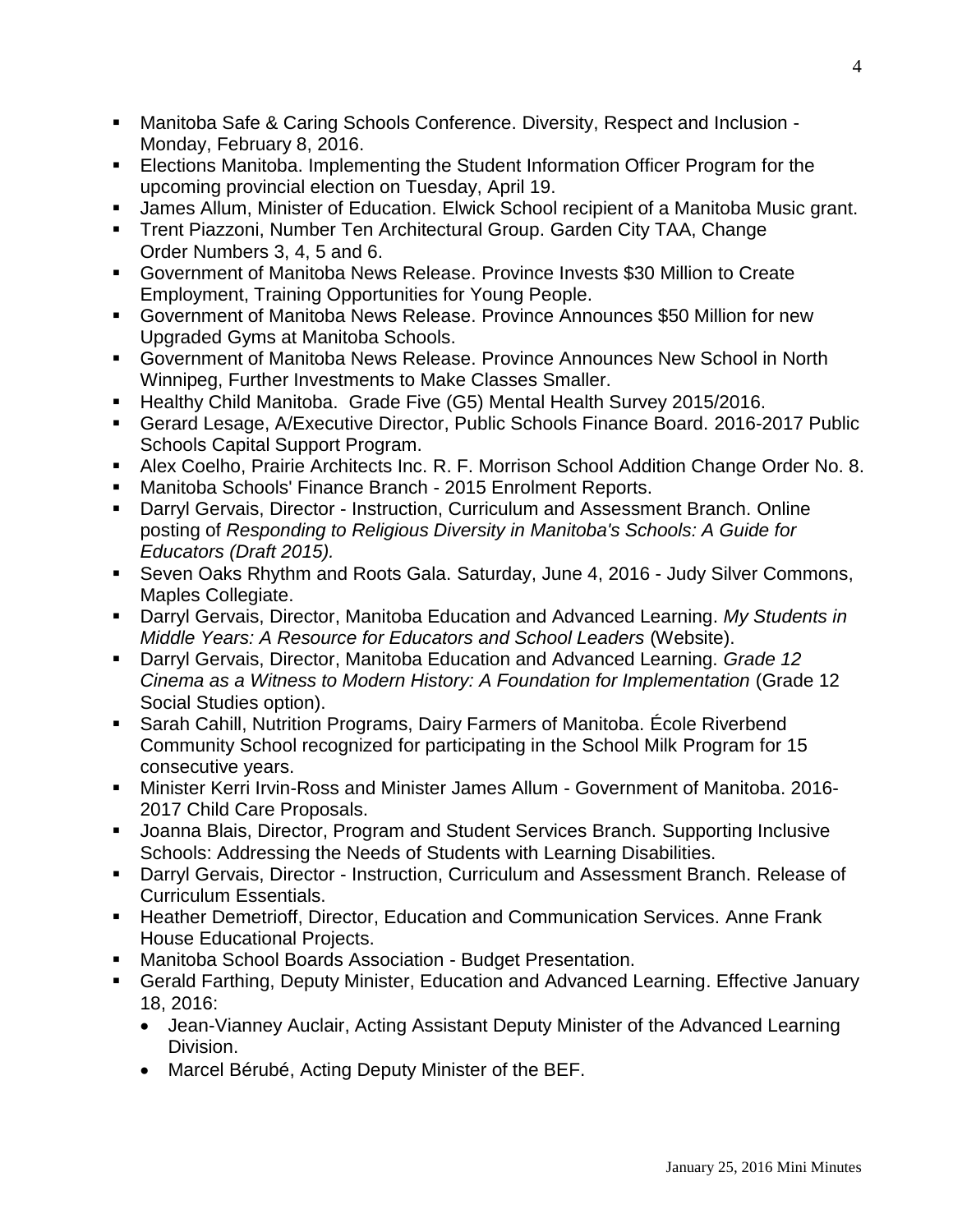- Manitoba Safe & Caring Schools Conference. Diversity, Respect and Inclusion Monday, February 8, 2016.
- **Elections Manitoba. Implementing the Student Information Officer Program for the** upcoming provincial election on Tuesday, April 19.
- James Allum, Minister of Education. Elwick School recipient of a Manitoba Music grant.
- Trent Piazzoni, Number Ten Architectural Group. Garden City TAA, Change Order Numbers 3, 4, 5 and 6.
- Government of Manitoba News Release. Province Invests \$30 Million to Create Employment, Training Opportunities for Young People.
- Government of Manitoba News Release. Province Announces \$50 Million for new Upgraded Gyms at Manitoba Schools.
- Government of Manitoba News Release. Province Announces New School in North Winnipeg, Further Investments to Make Classes Smaller.
- Healthy Child Manitoba. Grade Five (G5) Mental Health Survey 2015/2016.
- Gerard Lesage, A/Executive Director, Public Schools Finance Board. 2016-2017 Public Schools Capital Support Program.
- Alex Coelho, Prairie Architects Inc. R. F. Morrison School Addition Change Order No. 8.
- Manitoba Schools' Finance Branch 2015 Enrolment Reports.
- Darryl Gervais, Director Instruction, Curriculum and Assessment Branch. Online posting of *Responding to Religious Diversity in Manitoba's Schools: A Guide for Educators (Draft 2015).*
- Seven Oaks Rhythm and Roots Gala. Saturday, June 4, 2016 Judy Silver Commons, Maples Collegiate.
- Darryl Gervais, Director, Manitoba Education and Advanced Learning. My Students in *Middle Years: A Resource for Educators and School Leaders* (Website).
- Darryl Gervais, Director, Manitoba Education and Advanced Learning. *Grade 12 Cinema as a Witness to Modern History: A Foundation for Implementation* (Grade 12 Social Studies option).
- Sarah Cahill, Nutrition Programs, Dairy Farmers of Manitoba. École Riverbend Community School recognized for participating in the School Milk Program for 15 consecutive years.
- Minister Kerri Irvin-Ross and Minister James Allum Government of Manitoba. 2016- 2017 Child Care Proposals.
- Joanna Blais, Director, Program and Student Services Branch. Supporting Inclusive Schools: Addressing the Needs of Students with Learning Disabilities.
- Darryl Gervais, Director Instruction, Curriculum and Assessment Branch. Release of Curriculum Essentials.
- **Heather Demetrioff, Director, Education and Communication Services. Anne Frank** House Educational Projects.
- Manitoba School Boards Association Budget Presentation.
- Gerald Farthing, Deputy Minister, Education and Advanced Learning. Effective January 18, 2016:
	- Jean-Vianney Auclair, Acting Assistant Deputy Minister of the Advanced Learning Division.
	- Marcel Bérubé, Acting Deputy Minister of the BEF.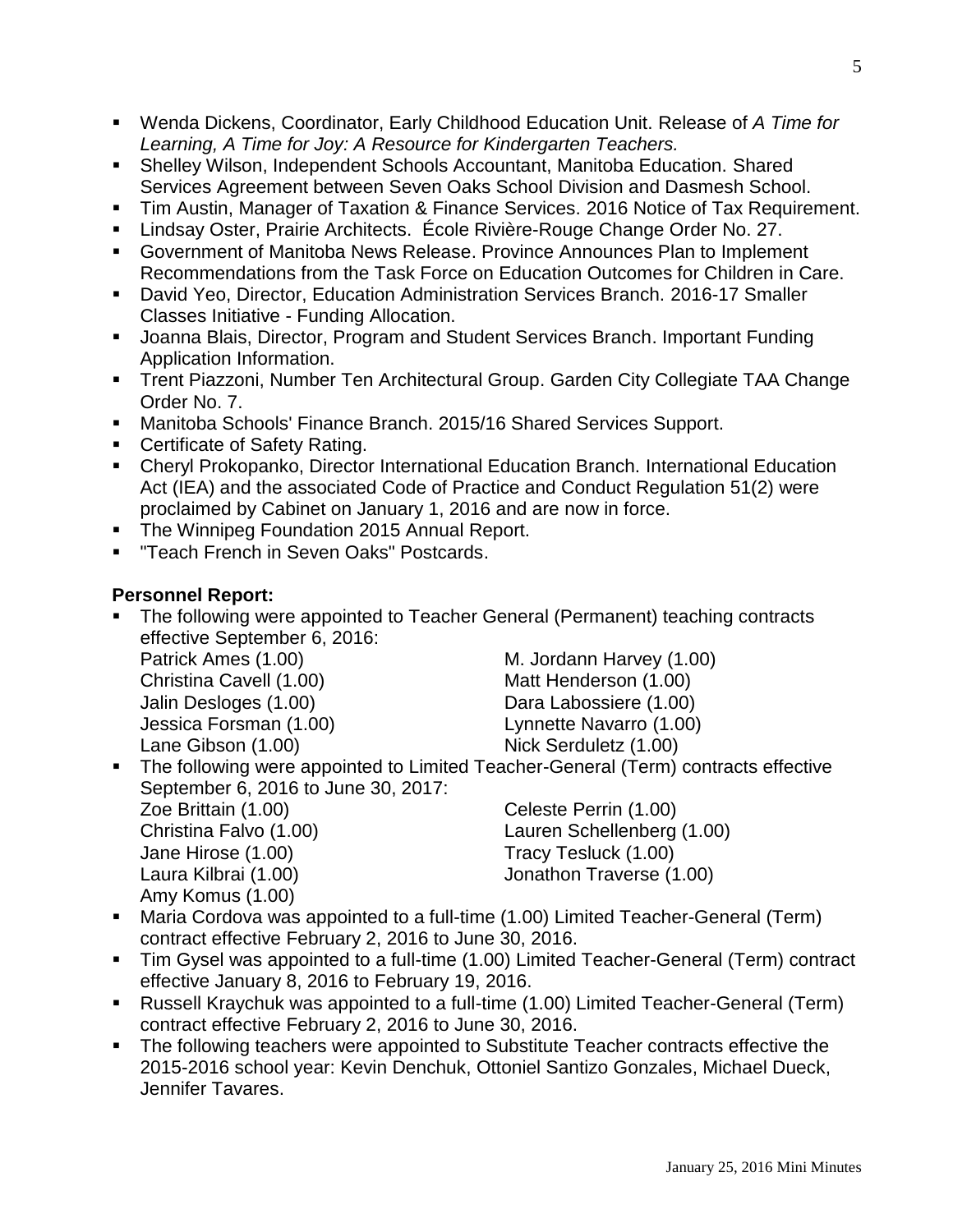- Wenda Dickens, Coordinator, Early Childhood Education Unit. Release of *A Time for Learning, A Time for Joy: A Resource for Kindergarten Teachers.*
- Shelley Wilson, Independent Schools Accountant, Manitoba Education. Shared Services Agreement between Seven Oaks School Division and Dasmesh School.
- Tim Austin, Manager of Taxation & Finance Services. 2016 Notice of Tax Requirement.
- **Lindsay Oster, Prairie Architects. École Rivière-Rouge Change Order No. 27.**
- Government of Manitoba News Release. Province Announces Plan to Implement Recommendations from the Task Force on Education Outcomes for Children in Care.
- David Yeo, Director, Education Administration Services Branch. 2016-17 Smaller Classes Initiative - Funding Allocation.
- **Joanna Blais, Director, Program and Student Services Branch. Important Funding** Application Information.
- Trent Piazzoni, Number Ten Architectural Group. Garden City Collegiate TAA Change Order No. 7.
- Manitoba Schools' Finance Branch. 2015/16 Shared Services Support.
- **Certificate of Safety Rating.**
- Cheryl Prokopanko, Director International Education Branch. International Education Act (IEA) and the associated Code of Practice and Conduct Regulation 51(2) were proclaimed by Cabinet on January 1, 2016 and are now in force.
- **The Winnipeg Foundation 2015 Annual Report.**
- "Teach French in Seven Oaks" Postcards.

#### **Personnel Report:**

• The following were appointed to Teacher General (Permanent) teaching contracts effective September 6, 2016: Patrick Ames (1.00) M. Jordann Harvey (1.00) Christina Cavell (1.00) Matt Henderson (1.00)

Lane Gibson (1.00) Nick Serduletz (1.00)

Jalin Desloges (1.00) Dara Labossiere (1.00) Jessica Forsman (1.00) Lynnette Navarro (1.00)

• The following were appointed to Limited Teacher-General (Term) contracts effective September 6, 2016 to June 30, 2017: Zoe Brittain (1.00) Celeste Perrin (1.00)

Jane Hirose (1.00) Tracy Tesluck (1.00) Amy Komus (1.00)

Christina Falvo (1.00) Lauren Schellenberg (1.00) Laura Kilbrai (1.00) Jonathon Traverse (1.00)

- Maria Cordova was appointed to a full-time (1.00) Limited Teacher-General (Term) contract effective February 2, 2016 to June 30, 2016.
- Tim Gysel was appointed to a full-time (1.00) Limited Teacher-General (Term) contract effective January 8, 2016 to February 19, 2016.
- Russell Kraychuk was appointed to a full-time (1.00) Limited Teacher-General (Term) contract effective February 2, 2016 to June 30, 2016.
- The following teachers were appointed to Substitute Teacher contracts effective the 2015-2016 school year: Kevin Denchuk, Ottoniel Santizo Gonzales, Michael Dueck, Jennifer Tavares.